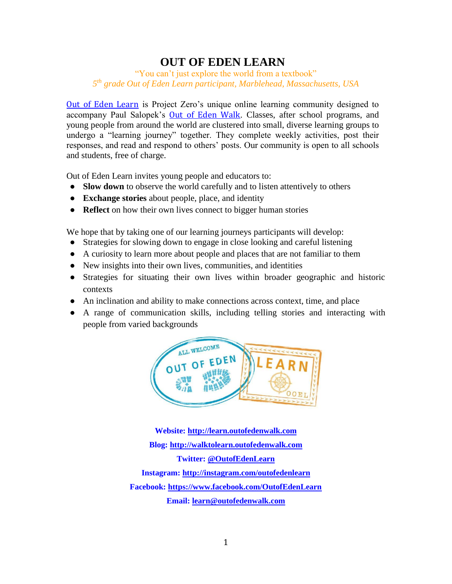### **OUT OF EDEN LEARN**

"You can't just explore the world from a textbook" *5 th grade Out of Eden Learn participant, Marblehead, Massachusetts, USA*

[Out of Eden Learn](http://learn.outofedenwalk.com/) is Project Zero's unique online learning community designed to accompany Paul Salopek's [Out of Eden Walk](http://outofedenwalk.nationalgeographic.com/). Classes, after school programs, and young people from around the world are clustered into small, diverse learning groups to undergo a "learning journey" together. They complete weekly activities, post their responses, and read and respond to others' posts. Our community is open to all schools and students, free of charge.

Out of Eden Learn invites young people and educators to:

- **Slow down** to observe the world carefully and to listen attentively to others
- **Exchange stories** about people, place, and identity
- **Reflect** on how their own lives connect to bigger human stories

We hope that by taking one of our learning journeys participants will develop:

- Strategies for slowing down to engage in close looking and careful listening
- A curiosity to learn more about people and places that are not familiar to them
- New insights into their own lives, communities, and identities
- Strategies for situating their own lives within broader geographic and historic contexts
- An inclination and ability to make connections across context, time, and place
- A range of communication skills, including telling stories and interacting with people from varied backgrounds



**Website: [http://learn.outofedenwalk.com](http://learn.outofedenwalk.com/) Blog: [http://walktolearn.outofedenwalk.com](http://walktolearn.outofedenwalk.com/) Twitter: [@OutofEdenLearn](https://twitter.com/OutofEdenLearn) Instagram:<http://instagram.com/outofedenlearn> Facebook:<https://www.facebook.com/OutofEdenLearn> Email: [learn@outofedenwalk.com](mailto:learn@outofedenwalk.com)**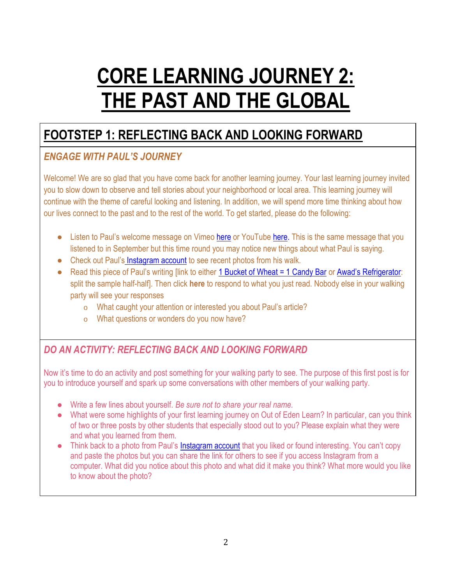# **CORE LEARNING JOURNEY 2: THE PAST AND THE GLOBAL**

### **FOOTSTEP 1: REFLECTING BACK AND LOOKING FORWARD**

### *ENGAGE WITH PAUL'S JOURNEY*

Welcome! We are so glad that you have come back for another learning journey. Your last learning journey invited you to slow down to observe and tell stories about your neighborhood or local area. This learning journey will continue with the theme of careful looking and listening. In addition, we will spend more time thinking about how our lives connect to the past and to the rest of the world. To get started, please do the following:

- Listen to Paul's [welcome message](http://learn.outofedenwalk.com/forum/educator-resources/paul-salopek-materials/pauls-intro-message-recorded-from-the-trail-in-turkey-august-2014/) on Vimeo [here](http://vimeo.com/107155620) or YouTube [here.](https://www.youtube.com/watch?v=K9kIR6ebhpU&list=UUsuoH2mU0m0sbUCfkwk1kqg) This is the same message that you listened to in September but this time round you may notice new things about what Paul is saying.
- Check out Paul's [Instagram account](http://instagram.com/outofedenwalk/) to see recent photos from his walk.
- Read this piece of Paul's writing [link to either [1 Bucket of Wheat = 1 Candy Bar](http://learn.outofedenwalk.com/dispatch/9/) or [Awad's Refrigerator](http://learn.outofedenwalk.com/dispatch/11/): split the sample half-half]. Then click **here** to respond to what you just read. Nobody else in your walking party will see your responses
	- o What caught your attention or interested you about Paul's article?
	- o What questions or wonders do you now have?

### *DO AN ACTIVITY: REFLECTING BACK AND LOOKING FORWARD*

Now it's time to do an activity and post something for your walking party to see. The purpose of this first post is for you to introduce yourself and spark up some conversations with other members of your walking party.

- Write a few lines about yourself. *Be sure not to share your real name.*
- What were some highlights of your first learning journey on Out of Eden Learn? In particular, can you think of two or three posts by other students that especially stood out to you? Please explain what they were and what you learned from them.
- Think back to a photo from Paul's [Instagram account](http://instagram.com/outofedenwalk/) that you liked or found interesting. You can't copy and paste the photos but you can share the link for others to see if you access Instagram from a computer. What did you notice about this photo and what did it make you think? What more would you like to know about the photo?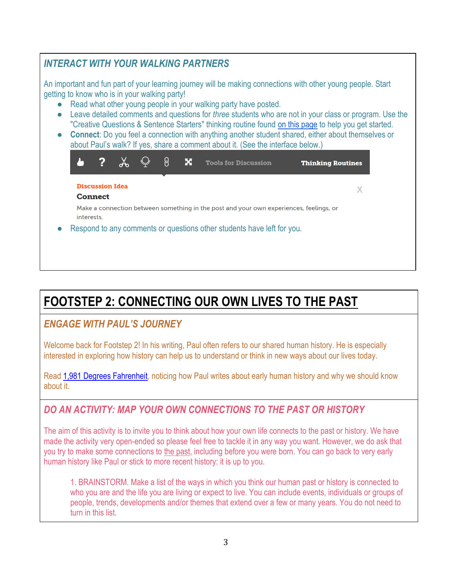#### *INTERACT WITH YOUR WALKING PARTNERS* An important and fun part of your learning journey will be making connections with other young people. Start getting to know who is in your walking party! ● Read what other young people in your walking party have posted. ● Leave detailed comments and questions for *three* students who are not in your class or program. Use the "Creative Questions & Sentence Starters" thinking routine found [on this](http://learn.outofedenwalk.com/thinking-routines/) [page](http://learn.outofedenwalk.com/thinking-routines/) to help you get started. ● **Connect**: Do you feel a connection with anything another student shared, either about themselves or about Paul's walk? If yes, share a comment about it. (See the interface below.) 2  $\chi$  $\bigcirc$ ခြ λ, × **Tools for Discussion Thinking Routines Discussion Idea**  $\mathbf{X}$ **Connect** Make a connection between something in the post and your own experiences, feelings, or interests. Respond to any comments or questions other students have left for you.

# **FOOTSTEP 2: CONNECTING OUR OWN LIVES TO THE PAST**

### *ENGAGE WITH PAUL'S JOURNEY*

Welcome back for Footstep 2! In his writing, Paul often refers to our shared human history. He is especially interested in exploring how history can help us to understand or think in new ways about our lives today.

Read [1,981 Degrees Fahrenheit,](http://learn.outofedenwalk.com/dispatch/3/) noticing how Paul writes about early human history and why we should know about it.

### *DO AN ACTIVITY: MAP YOUR OWN CONNECTIONS TO THE PAST OR HISTORY*

The aim of this activity is to invite you to think about how your own life connects to the past or history. We have made the activity very open-ended so please feel free to tackle it in any way you want. However, we do ask that you try to make some connections to the past, including before you were born. You can go back to very early human history like Paul or stick to more recent history: it is up to you.

1. BRAINSTORM. Make a list of the ways in which you think our human past or history is connected to who you are and the life you are living or expect to live. You can include events, individuals or groups of people, trends, developments and/or themes that extend over a few or many years. You do not need to turn in this list.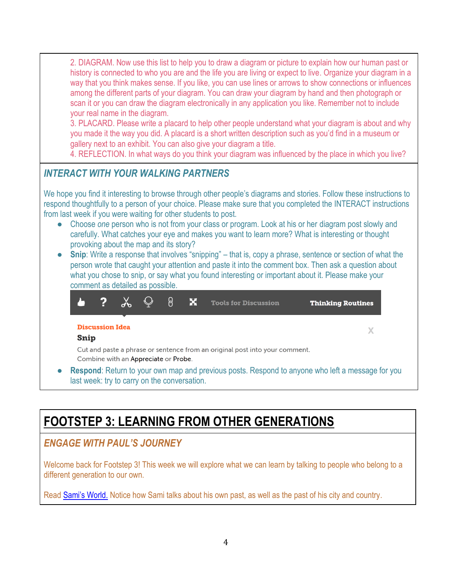2. DIAGRAM. Now use this list to help you to draw a diagram or picture to explain how our human past or history is connected to who you are and the life you are living or expect to live. Organize your diagram in a way that you think makes sense. If you like, you can use lines or arrows to show connections or influences among the different parts of your diagram. You can draw your diagram by hand and then photograph or scan it or you can draw the diagram electronically in any application you like. Remember not to include your real name in the diagram.

3. PLACARD. Please write a placard to help other people understand what your diagram is about and why you made it the way you did. A placard is a short written description such as you'd find in a museum or gallery next to an exhibit. You can also give your diagram a title.

4. REFLECTION. In what ways do you think your diagram was influenced by the place in which you live?

### *INTERACT WITH YOUR WALKING PARTNERS*

We hope you find it interesting to browse through other people's diagrams and stories. Follow these instructions to respond thoughtfully to a person of your choice. Please make sure that you completed the INTERACT instructions from last week if you were waiting for other students to post.

- Choose *one* person who is not from your class or program. Look at his or her diagram post slowly and carefully. What catches your eye and makes you want to learn more? What is interesting or thought provoking about the map and its story?
- **Snip**: Write a response that involves "snipping" that is, copy a phrase, sentence or section of what the person wrote that caught your attention and paste it into the comment box. Then ask a question about what you chose to snip, or say what you found interesting or important about it. Please make your comment as detailed as possible.



### **FOOTSTEP 3: LEARNING FROM OTHER GENERATIONS**

### *ENGAGE WITH PAUL'S JOURNEY*

Welcome back for Footstep 3! This week we will explore what we can learn by talking to people who belong to a different generation to our own.

Read [Sami's World.](http://learn.outofedenwalk.com/dispatch/12/) Notice how Sami talks about his own past, as well as the past of his city and country.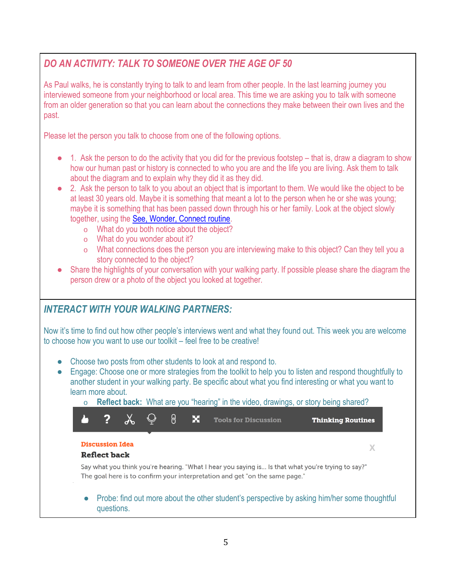### *DO AN ACTIVITY: TALK TO SOMEONE OVER THE AGE OF 50*

As Paul walks, he is constantly trying to talk to and learn from other people. In the last learning journey you interviewed someone from your neighborhood or local area. This time we are asking you to talk with someone from an older generation so that you can learn about the connections they make between their own lives and the past.

Please let the person you talk to choose from one of the following options.

- 1. Ask the person to do the activity that you did for the previous footstep that is, draw a diagram to show how our human past or history is connected to who you are and the life you are living. Ask them to talk about the diagram and to explain why they did it as they did.
- 2. Ask the person to talk to you about an object that is important to them. We would like the object to be at least 30 years old. Maybe it is something that meant a lot to the person when he or she was young; maybe it is something that has been passed down through his or her family. Look at the object slowly together, using the [See, Wonder, Connect routine.](http://learn.outofedenwalk.com/thinking-routines/)
	- o What do you both notice about the object?
	- o What do you wonder about it?
	- o What connections does the person you are interviewing make to this object? Can they tell you a story connected to the object?
- Share the highlights of your conversation with your walking party. If possible please share the diagram the person drew or a photo of the object you looked at together.

### *INTERACT WITH YOUR WALKING PARTNERS:*

Now it's time to find out how other people's interviews went and what they found out. This week you are welcome to choose how you want to use our toolkit – feel free to be creative!

- Choose two posts from other students to look at and respond to.
- Engage: Choose one or more strategies from the toolkit to help you to listen and respond thoughtfully to another student in your walking party. Be specific about what you find interesting or what you want to learn more about.



#### ● Probe: find out more about the other student's perspective by asking him/her some thoughtful questions.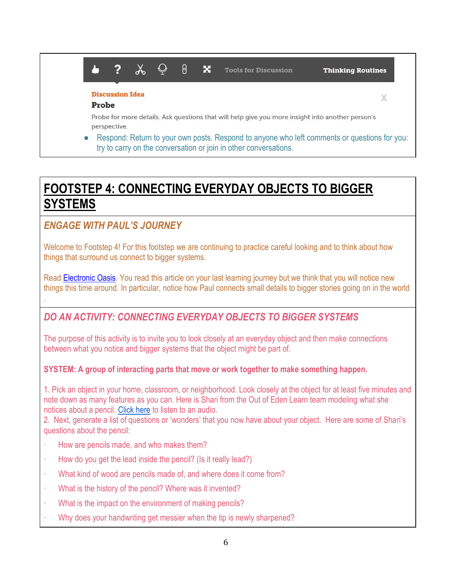#### $\lambda$   $\odot$  $\blacktriangle$  $\overline{?}$ ု႕  $\mathbf x$ **Tools for Discussion Thinking Routines Discussion Idea**  $\chi$ Probe Probe for more details. Ask questions that will help give you more insight into another person's perspective. Respond: Return to your own posts. Respond to anyone who left comments or questions for you: try to carry on the conversation or join in other conversations.

### **FOOTSTEP 4: CONNECTING EVERYDAY OBJECTS TO BIGGER SYSTEMS**

### *ENGAGE WITH PAUL'S JOURNEY*

.

Welcome to Footstep 4! For this footstep we are continuing to practice careful looking and to think about how things that surround us connect to bigger systems.

Read [Electronic Oasis.](http://learn.outofedenwalk.com/dispatch/8/) You read this article on your last learning journey but we think that you will notice new things this time around. In particular, notice how Paul connects small details to bigger stories going on in the world

### *DO AN ACTIVITY: CONNECTING EVERYDAY OBJECTS TO BIGGER SYSTEMS*

The purpose of this activity is to invite you to look closely at an everyday object and then make connections between what you notice and bigger systems that the object might be part of.

#### **SYSTEM: A group of interacting parts that move or work together to make something happen.**

1. Pick an object in your home, classroom, or neighborhood. Look closely at the object for at least five minutes and note down as many features as you can. Here is Shari from the Out of Eden Learn team modeling what she notices about a pencil. [Click here](http://learn.outofedenwalk.com/forum/educator-resources/resources-from-project-zero/sharis-pencil-audio/) to listen to an audio.

2. Next, generate a list of questions or 'wonders' that you now have about your object. Here are some of Shari's questions about the pencil:

- · How are pencils made, and who makes them?
- $\cdot$  How do you get the lead inside the pencil? (Is it really lead?)
- · What kind of wood are pencils made of, and where does it come from?
- · What is the history of the pencil? Where was it invented?
- · What is the impact on the environment of making pencils?
- Why does your handwriting get messier when the tip is newly sharpened?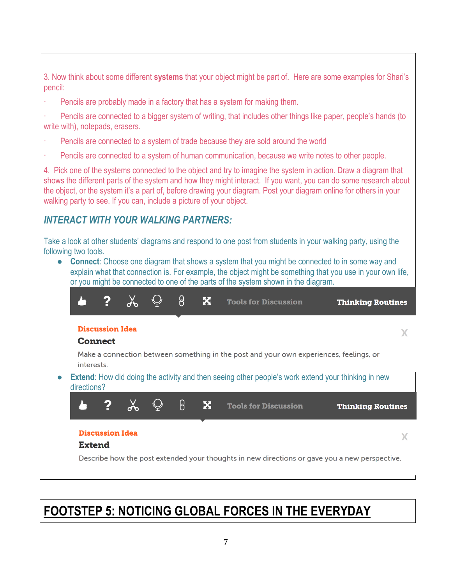3. Now think about some different **systems** that your object might be part of. Here are some examples for Shari's pencil:

Pencils are probably made in a factory that has a system for making them.

· Pencils are connected to a bigger system of writing, that includes other things like paper, people's hands (to write with), notepads, erasers.

- Pencils are connected to a system of trade because they are sold around the world
- · Pencils are connected to a system of human communication, because we write notes to other people.

4. Pick one of the systems connected to the object and try to imagine the system in action. Draw a diagram that shows the different parts of the system and how they might interact. If you want, you can do some research about the object, or the system it's a part of, before drawing your diagram. Post your diagram online for others in your walking party to see. If you can, include a picture of your object.

### *INTERACT WITH YOUR WALKING PARTNERS:*

Take a look at other students' diagrams and respond to one post from students in your walking party, using the following two tools.

● **Connect**: Choose one diagram that shows a system that you might be connected to in some way and explain what that connection is. For example, the object might be something that you use in your own life, or you might be connected to one of the parts of the system shown in the diagram.



### **FOOTSTEP 5: NOTICING GLOBAL FORCES IN THE EVERYDAY**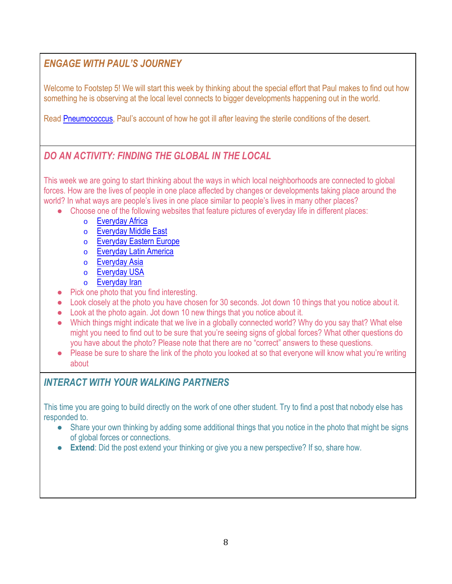### *ENGAGE WITH PAUL'S JOURNEY*

Welcome to Footstep 5! We will start this week by thinking about the special effort that Paul makes to find out how something he is observing at the local level connects to bigger developments happening out in the world.

Read [Pneumococcus](http://learn.outofedenwalk.com/dispatch/10/), Paul's account of how he got ill after leaving the sterile conditions of the desert.

### *DO AN ACTIVITY: FINDING THE GLOBAL IN THE LOCAL*

This week we are going to start thinking about the ways in which local neighborhoods are connected to global forces. How are the lives of people in one place affected by changes or developments taking place around the world? In what ways are people's lives in one place similar to people's lives in many other places?

- Choose one of the following websites that feature pictures of everyday life in different places:
	- o [Everyday Africa](http://instagram.com/everydayafrica)
	- o [Everyday Middle East](http://instagram.com/everydaymiddleeast/)
	- o [Everyday Eastern Europe](http://instagram.com/everydayeasterneurope/)
	- o [Everyday Latin America](http://instagram.com/everydaylatinamerica/)
	- o [Everyday Asia](http://instagram.com/everydayasia)
	- o [Everyday USA](http://instagram.com/everydayusa/)
	- o [Everyday Iran](http://instagram.com/everydayiran/)
- Pick one photo that you find interesting.
- Look closely at the photo you have chosen for 30 seconds. Jot down 10 things that you notice about it.
- Look at the photo again. Jot down 10 new things that you notice about it.
- Which things might indicate that we live in a globally connected world? Why do you say that? What else might you need to find out to be sure that you're seeing signs of global forces? What other questions do you have about the photo? Please note that there are no "correct" answers to these questions.
- Please be sure to share the link of the photo you looked at so that everyone will know what you're writing about

### *INTERACT WITH YOUR WALKING PARTNERS*

This time you are going to build directly on the work of one other student. Try to find a post that nobody else has responded to.

- Share your own thinking by adding some additional things that you notice in the photo that might be signs of global forces or connections.
- **Extend**: Did the post extend your thinking or give you a new perspective? If so, share how.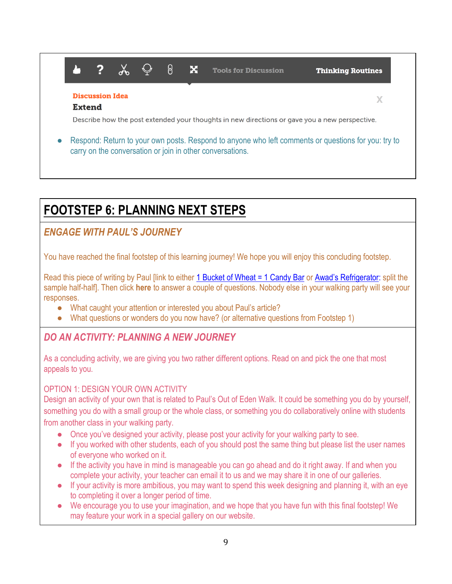#### $\overline{2}$  $\chi$ ြု  $\bigcirc$ A.  $\mathbf{x}$ **Tools for Discussion Thinking Routines Discussion Idea** X **Extend** Describe how the post extended your thoughts in new directions or gave you a new perspective. Respond: Return to your own posts. Respond to anyone who left comments or questions for you: try to carry on the conversation or join in other conversations.

## **FOOTSTEP 6: PLANNING NEXT STEPS**

### *ENGAGE WITH PAUL'S JOURNEY*

You have reached the final footstep of this learning journey! We hope you will enjoy this concluding footstep.

Read this piece of writing by Paul [link to either [1 Bucket of Wheat = 1 Candy Bar](http://learn.outofedenwalk.com/admin/r/43/9/) or [Awad's Refrigerator](http://learn.outofedenwalk.com/admin/r/43/11/): split the sample half-half]. Then click **here** to answer a couple of questions. Nobody else in your walking party will see your responses.

- What caught your attention or interested you about Paul's article?
- What questions or wonders do you now have? (or alternative questions from Footstep 1)

### *DO AN ACTIVITY: PLANNING A NEW JOURNEY*

As a concluding activity, we are giving you two rather different options. Read on and pick the one that most appeals to you.

#### OPTION 1: DESIGN YOUR OWN ACTIVITY

Design an activity of your own that is related to Paul's Out of Eden Walk. It could be something you do by yourself, something you do with a small group or the whole class, or something you do collaboratively online with students from another class in your walking party.

- Once you've designed your activity, please post your activity for your walking party to see.
- If you worked with other students, each of you should post the same thing but please list the user names of everyone who worked on it.
- If the activity you have in mind is manageable you can go ahead and do it right away. If and when you complete your activity, your teacher can email it to us and we may share it in one of our galleries.
- If your activity is more ambitious, you may want to spend this week designing and planning it, with an eye to completing it over a longer period of time.
- We encourage you to use your imagination, and we hope that you have fun with this final footstep! We may feature your work in a special gallery on our website.